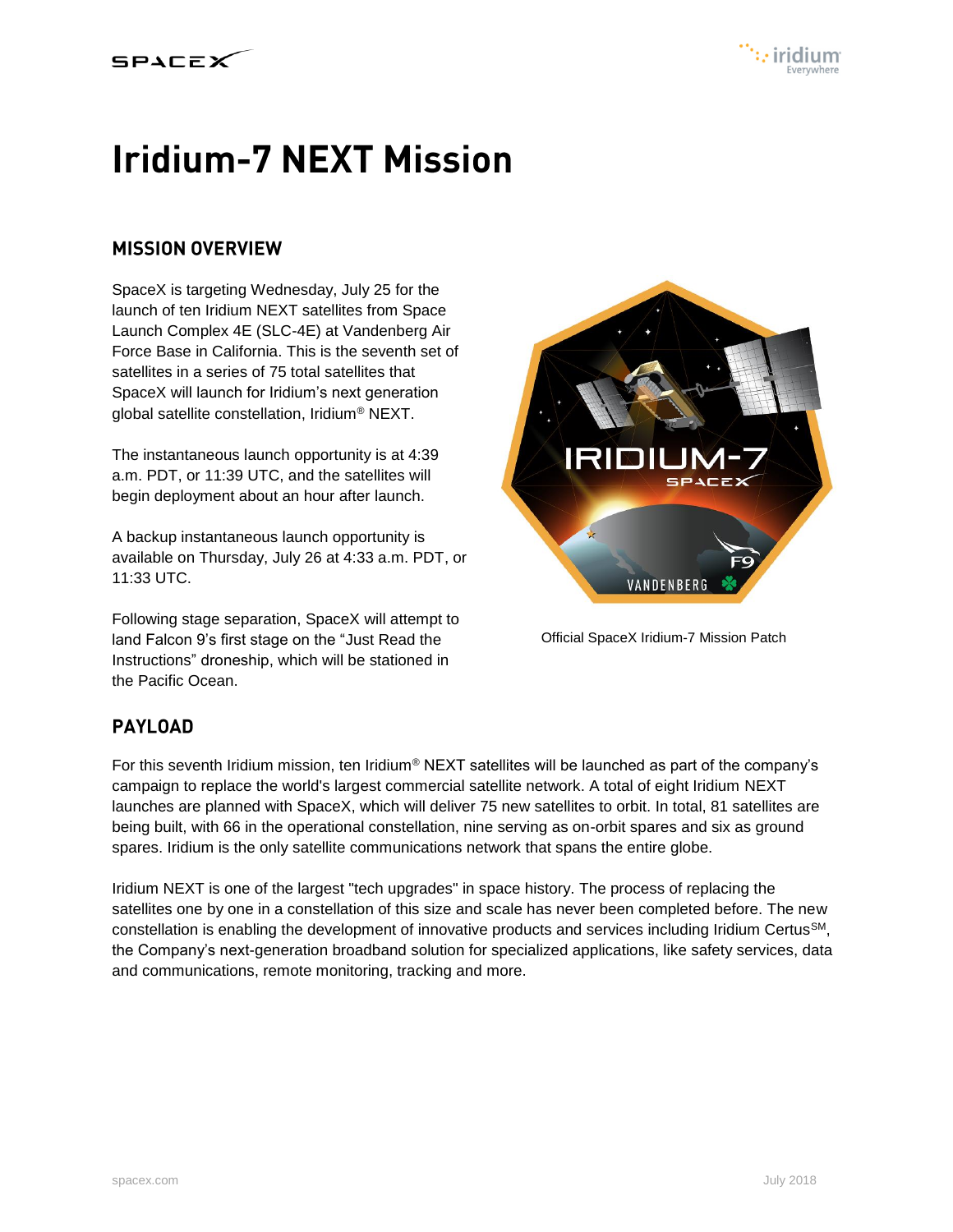



# **Iridium-7 NEXT Mission**

## **MISSION OVERVIEW**

SpaceX is targeting Wednesday, July 25 for the launch of ten Iridium NEXT satellites from Space Launch Complex 4E (SLC-4E) at Vandenberg Air Force Base in California. This is the seventh set of satellites in a series of 75 total satellites that SpaceX will launch for Iridium's next generation global satellite constellation, Iridium® NEXT.

The instantaneous launch opportunity is at 4:39 a.m. PDT, or 11:39 UTC, and the satellites will begin deployment about an hour after launch.

A backup instantaneous launch opportunity is available on Thursday, July 26 at 4:33 a.m. PDT, or 11:33 UTC.

Following stage separation, SpaceX will attempt to land Falcon 9's first stage on the "Just Read the Instructions" droneship, which will be stationed in the Pacific Ocean.



Official SpaceX Iridium-7 Mission Patch

## **PAYLOAD**

For this seventh Iridium mission, ten Iridium® NEXT satellites will be launched as part of the company's campaign to replace the world's largest commercial satellite network. A total of eight Iridium NEXT launches are planned with SpaceX, which will deliver 75 new satellites to orbit. In total, 81 satellites are being built, with 66 in the operational constellation, nine serving as on-orbit spares and six as ground spares. Iridium is the only satellite communications network that spans the entire globe.

Iridium NEXT is one of the largest "tech upgrades" in space history. The process of replacing the satellites one by one in a constellation of this size and scale has never been completed before. The new constellation is enabling the development of innovative products and services including Iridium Certus<sup>SM</sup>, the Company's next-generation broadband solution for specialized applications, like safety services, data and communications, remote monitoring, tracking and more.